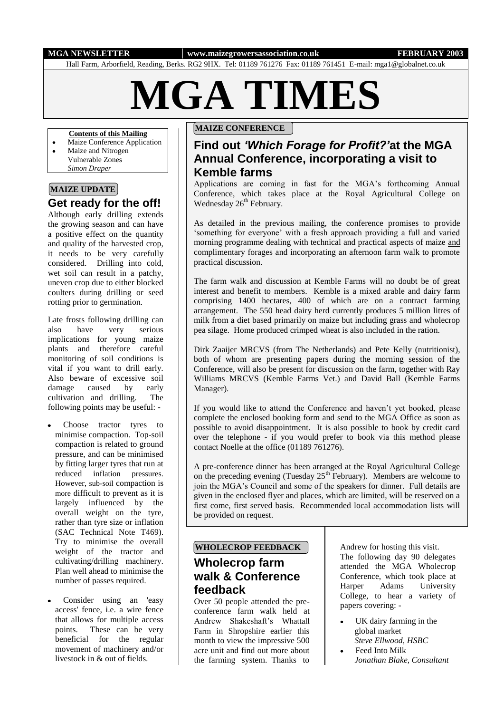#### **MGA NEWSLETTER www.maizegrowersassociation.co.uk FEBRUARY 2003**

Hall Farm, Arborfield, Reading, Berks. RG2 9HX. Tel: 01189 761276 Fax: 01189 761451 E-mail: mga1@globalnet.co.uk

# **MGA TIMES**

#### **Contents of this Mailing**

- Maize Conference Application
- $\bullet$ Maize and Nitrogen Vulnerable Zones *Simon Draper*

## **MAIZE UPDATE**

# **Get ready for the off!**

Although early drilling extends the growing season and can have a positive effect on the quantity and quality of the harvested crop, it needs to be very carefully considered. Drilling into cold, wet soil can result in a patchy, uneven crop due to either blocked coulters during drilling or seed rotting prior to germination.

Late frosts following drilling can also have very serious implications for young maize plants and therefore careful monitoring of soil conditions is vital if you want to drill early. Also beware of excessive soil damage caused by early cultivation and drilling. The following points may be useful: -

- Choose tractor tyres to minimise compaction. Top-soil compaction is related to ground pressure, and can be minimised by fitting larger tyres that run at reduced inflation pressures. However, sub-soil compaction is more difficult to prevent as it is largely influenced by the overall weight on the tyre, rather than tyre size or inflation (SAC Technical Note T469). Try to minimise the overall weight of the tractor and cultivating/drilling machinery. Plan well ahead to minimise the number of passes required.
- Consider using an 'easy access' fence, i.e. a wire fence that allows for multiple access points. These can be very beneficial for the regular movement of machinery and/or livestock in & out of fields.

## **MAIZE CONFERENCE**

# **Find out** *'Which Forage for Profit?'***at the MGA Annual Conference, incorporating a visit to Kemble farms**

Applications are coming in fast for the MGA's forthcoming Annual Conference, which takes place at the Royal Agricultural College on Wednesday  $26<sup>th</sup>$  February.

As detailed in the previous mailing, the conference promises to provide 'something for everyone' with a fresh approach providing a full and varied morning programme dealing with technical and practical aspects of maize and complimentary forages and incorporating an afternoon farm walk to promote practical discussion.

The farm walk and discussion at Kemble Farms will no doubt be of great interest and benefit to members. Kemble is a mixed arable and dairy farm comprising 1400 hectares, 400 of which are on a contract farming arrangement. The 550 head dairy herd currently produces 5 million litres of milk from a diet based primarily on maize but including grass and wholecrop pea silage. Home produced crimped wheat is also included in the ration.

Dirk Zaaijer MRCVS (from The Netherlands) and Pete Kelly (nutritionist), both of whom are presenting papers during the morning session of the Conference, will also be present for discussion on the farm, together with Ray Williams MRCVS (Kemble Farms Vet.) and David Ball (Kemble Farms Manager).

If you would like to attend the Conference and haven't yet booked, please complete the enclosed booking form and send to the MGA Office as soon as possible to avoid disappointment. It is also possible to book by credit card over the telephone - if you would prefer to book via this method please contact Noelle at the office (01189 761276).

A pre-conference dinner has been arranged at the Royal Agricultural College on the preceding evening (Tuesday  $25<sup>th</sup>$  February). Members are welcome to join the MGA's Council and some of the speakers for dinner. Full details are given in the enclosed flyer and places, which are limited, will be reserved on a first come, first served basis. Recommended local accommodation lists will be provided on request.

#### **WHOLECROP FEEDBACK**

# **Wholecrop farm walk & Conference feedback**

Over 50 people attended the preconference farm walk held at Andrew Shakeshaft's Whattall Farm in Shropshire earlier this month to view the impressive 500 acre unit and find out more about the farming system. Thanks to

Andrew for hosting this visit. The following day 90 delegates attended the MGA Wholecrop Conference, which took place at Harper Adams University College, to hear a variety of papers covering: -

- UK dairy farming in the global market *Steve Ellwood, HSBC*
- Feed Into Milk *Jonathan Blake, Consultant*